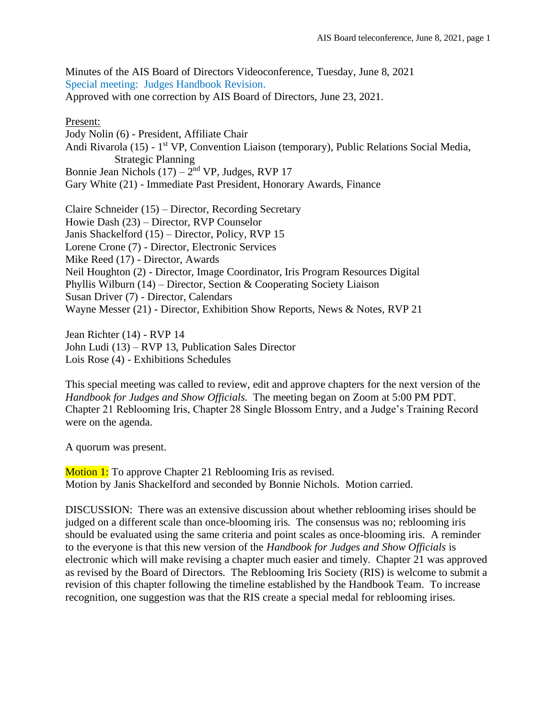Minutes of the AIS Board of Directors Videoconference, Tuesday, June 8, 2021 Special meeting: Judges Handbook Revision. Approved with one correction by AIS Board of Directors, June 23, 2021.

## Present:

Jody Nolin (6) - President, Affiliate Chair Andi Rivarola (15) - 1<sup>st</sup> VP, Convention Liaison (temporary), Public Relations Social Media, Strategic Planning Bonnie Jean Nichols  $(17) - 2<sup>nd</sup> VP$ , Judges, RVP 17 Gary White (21) - Immediate Past President, Honorary Awards, Finance

Claire Schneider (15) – Director, Recording Secretary Howie Dash (23) – Director, RVP Counselor Janis Shackelford (15) – Director, Policy, RVP 15 Lorene Crone (7) - Director, Electronic Services Mike Reed (17) - Director, Awards Neil Houghton (2) - Director, Image Coordinator, Iris Program Resources Digital Phyllis Wilburn (14) – Director, Section & Cooperating Society Liaison Susan Driver (7) - Director, Calendars Wayne Messer (21) - Director, Exhibition Show Reports, News & Notes, RVP 21

Jean Richter (14) - RVP 14 John Ludi (13) – RVP 13, Publication Sales Director Lois Rose (4) - Exhibitions Schedules

This special meeting was called to review, edit and approve chapters for the next version of the *Handbook for Judges and Show Officials.* The meeting began on Zoom at 5:00 PM PDT. Chapter 21 Reblooming Iris, Chapter 28 Single Blossom Entry, and a Judge's Training Record were on the agenda.

A quorum was present.

**Motion 1:** To approve Chapter 21 Reblooming Iris as revised. Motion by Janis Shackelford and seconded by Bonnie Nichols. Motion carried.

DISCUSSION: There was an extensive discussion about whether reblooming irises should be judged on a different scale than once-blooming iris. The consensus was no; reblooming iris should be evaluated using the same criteria and point scales as once-blooming iris. A reminder to the everyone is that this new version of the *Handbook for Judges and Show Officials* is electronic which will make revising a chapter much easier and timely. Chapter 21 was approved as revised by the Board of Directors. The Reblooming Iris Society (RIS) is welcome to submit a revision of this chapter following the timeline established by the Handbook Team. To increase recognition, one suggestion was that the RIS create a special medal for reblooming irises.